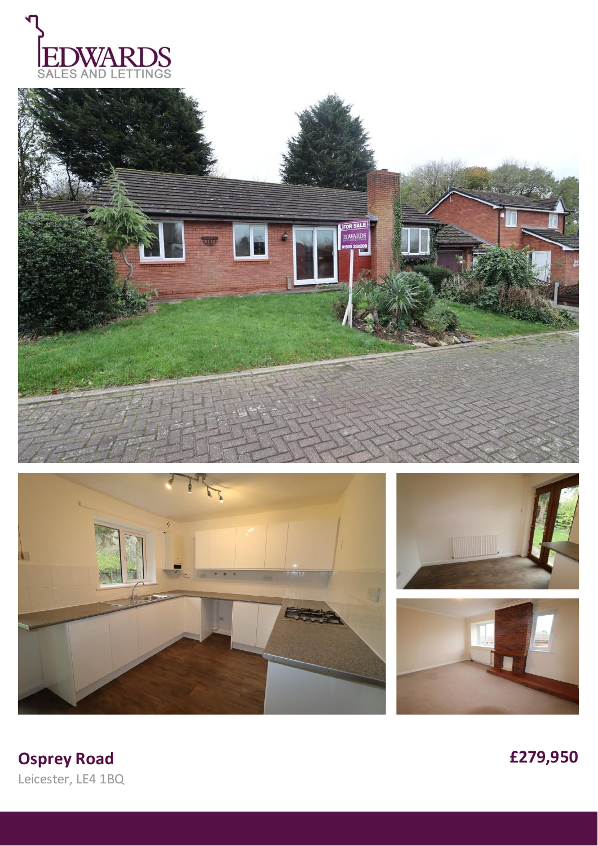









**Osprey Road** Leicester, LE4 1BQ £279,950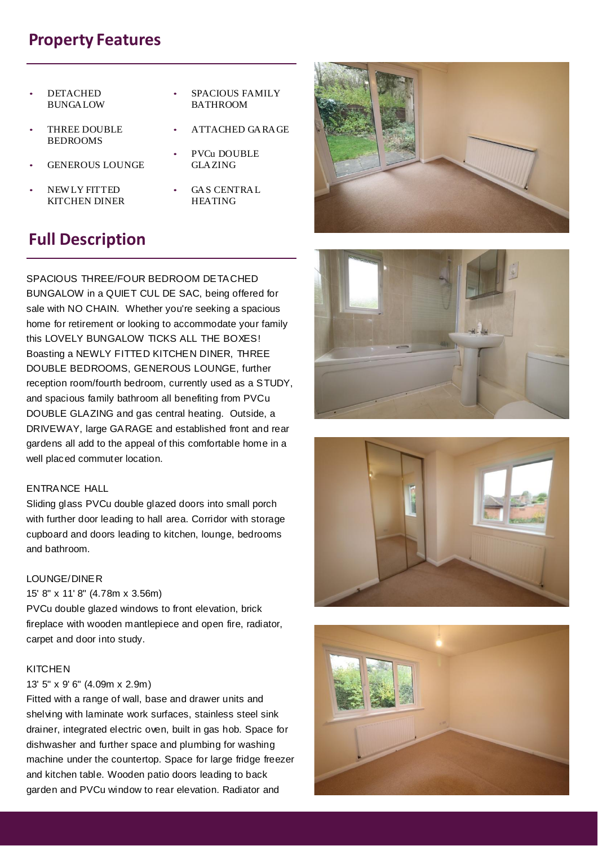## **Property Features**

- **DETACHED** BUNGALOW
- THREE DOUBLE BEDROOMS
- GENEROUS LOUNGE
- NEW LY FITTED KITCHEN DINER
- SPACIOUS FAMILY BATHROOM
- ATTACHED GARAGE
- PVCu DOUBLE GLAZING
- GAS CENTRAL HEATING

# **Full Description**

SPACIOUS THREE/FOUR BEDROOM DETACHED BUNGALOW in a QUIET CUL DE SAC, being offered for sale with NO CHAIN. Whether you're seeking a spacious home for retirement or looking to accommodate your family this LOVELY BUNGALOW TICKS ALL THE BOXES! Boasting a NEWLY FITTED KITCHEN DINER, THREE DOUBLE BEDROOMS, GENEROUS LOUNGE, further reception room/fourth bedroom, currently used as a STUDY, and spacious family bathroom all benefiting from PVCu DOUBLE GLAZING and gas central heating. Outside, a DRIVEWAY, large GARAGE and established front and rear gardens all add to the appeal of this comfortable home in a well placed commuter location.

## ENTRANCE HALL

Sliding glass PVCu double glazed doors into small porch with further door leading to hall area. Corridor with storage cupboard and doors leading to kitchen, lounge, bedrooms and bathroom.

## LOUNGE/DINER

### 15' 8" x 11' 8" (4.78m x 3.56m)

PVCu double glazed windows to front elevation, brick fireplace with wooden mantlepiece and open fire, radiator, carpet and door into study.

## KITCHEN

#### 13' 5" x 9' 6" (4.09m x 2.9m)

Fitted with a range of wall, base and drawer units and shelving with laminate work surfaces, stainless steel sink drainer, integrated electric oven, built in gas hob. Space for dishwasher and further space and plumbing for washing machine under the countertop. Space for large fridge freezer and kitchen table. Wooden patio doors leading to back garden and PVCu window to rear elevation. Radiator and







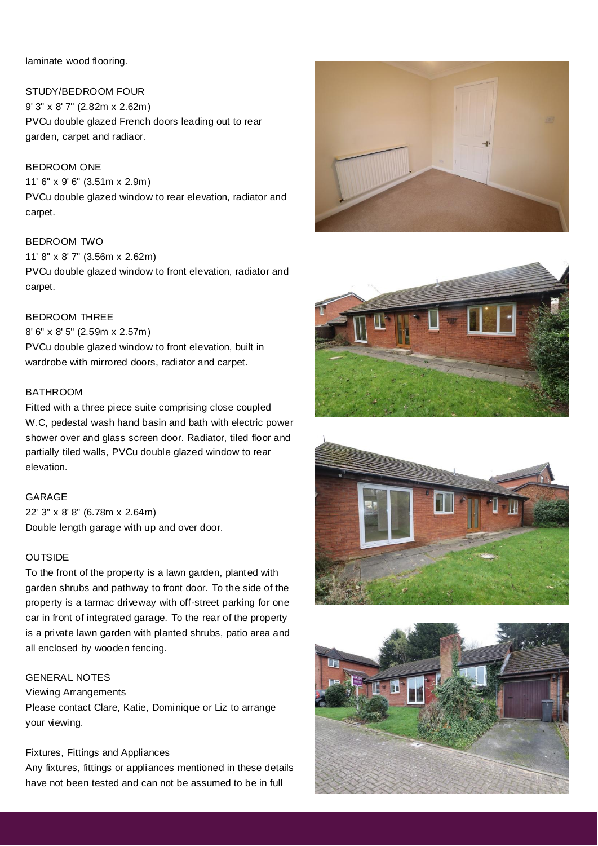laminate wood flooring.

STUDY/BEDROOM FOUR 9' 3" x 8' 7" (2.82m x 2.62m) PVCu double glazed French doors leading out to rear garden, carpet and radiaor.

BEDROOM ONE 11' 6" x 9' 6" (3.51m x 2.9m) PVCu double glazed window to rear elevation, radiator and carpet.

BEDROOM TWO 11' 8" x 8' 7" (3.56m x 2.62m) PVCu double glazed window to front elevation, radiator and carpet.

## BEDROOM THREE

8' 6" x 8' 5" (2.59m x 2.57m) PVCu double glazed window to front elevation, built in wardrobe with mirrored doors, radiator and carpet.

## **BATHROOM**

Fitted with a three piece suite comprising close coupled W.C, pedestal wash hand basin and bath with electric power shower over and glass screen door. Radiator, tiled floor and partially tiled walls, PVCu double glazed window to rear elevation.

#### GARAGE

22' 3" x 8' 8" (6.78m x 2.64m) Double length garage with up and over door.

## **OUTSIDE**

To the front of the property is a lawn garden, planted with garden shrubs and pathway to front door. To the side of the property is a tarmac driveway with off-street parking for one car in front of integrated garage. To the rear of the property is a private lawn garden with planted shrubs, patio area and all enclosed by wooden fencing.

## GENERAL NOTES

#### Viewing Arrangements

Please contact Clare, Katie, Dominique or Liz to arrange your viewing.

## Fixtures, Fittings and Appliances

Any fixtures, fittings or appliances mentioned in these details have not been tested and can not be assumed to be in full